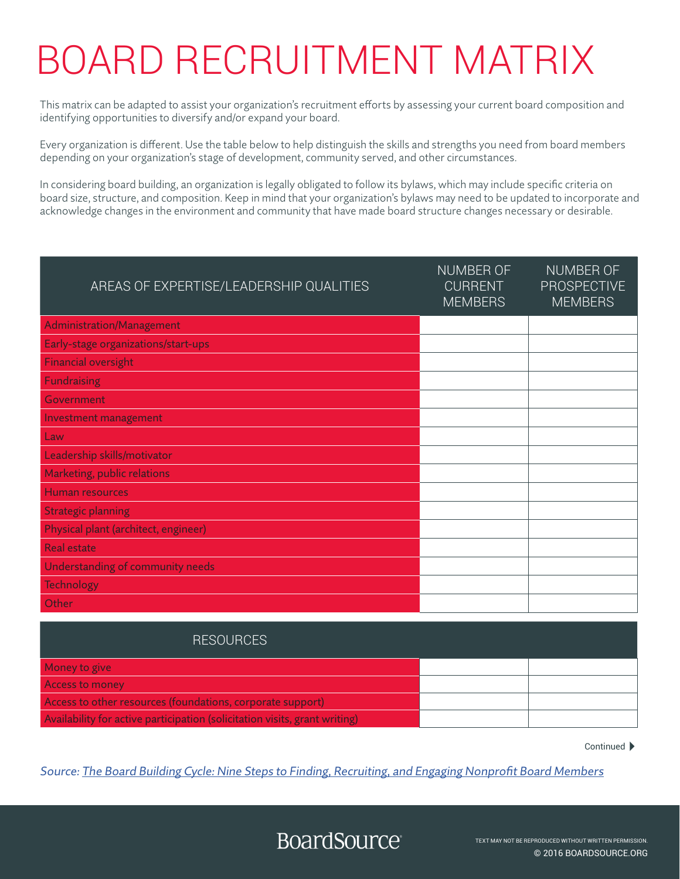## BOARD RECRUITMENT MATRIX

This matrix can be adapted to assist your organization's recruitment efforts by assessing your current board composition and identifying opportunities to diversify and/or expand your board.

Every organization is different. Use the table below to help distinguish the skills and strengths you need from board members depending on your organization's stage of development, community served, and other circumstances.

In considering board building, an organization is legally obligated to follow its bylaws, which may include specific criteria on board size, structure, and composition. Keep in mind that your organization's bylaws may need to be updated to incorporate and acknowledge changes in the environment and community that have made board structure changes necessary or desirable.

| <b>AREAS OF EXPERTISE/LEADERSHIP QUALITIES</b> | <b>NUMBER OF</b><br><b>CURRENT</b><br><b>MEMBERS</b> | NUMBER OF<br><b>PROSPECTIVE</b><br><b>MEMBERS</b> |
|------------------------------------------------|------------------------------------------------------|---------------------------------------------------|
| Administration/Management                      |                                                      |                                                   |
| Early-stage organizations/start-ups            |                                                      |                                                   |
| <b>Financial oversight</b>                     |                                                      |                                                   |
| <b>Fundraising</b>                             |                                                      |                                                   |
| Government                                     |                                                      |                                                   |
| Investment management                          |                                                      |                                                   |
| Law                                            |                                                      |                                                   |
| Leadership skills/motivator                    |                                                      |                                                   |
| Marketing, public relations                    |                                                      |                                                   |
| <b>Human resources</b>                         |                                                      |                                                   |
| <b>Strategic planning</b>                      |                                                      |                                                   |
| Physical plant (architect, engineer)           |                                                      |                                                   |
| <b>Real estate</b>                             |                                                      |                                                   |
| Understanding of community needs               |                                                      |                                                   |
| <b>Technology</b>                              |                                                      |                                                   |
| Other                                          |                                                      |                                                   |

| <b>RESOURCES</b>                                                           |  |
|----------------------------------------------------------------------------|--|
| Money to give                                                              |  |
| <b>Access to money</b>                                                     |  |
| Access to other resources (foundations, corporate support)                 |  |
| Availability for active participation (solicitation visits, grant writing) |  |

Continued ▶

Source: [The Board Building Cycle: Nine Steps to Finding, Recruiting, and Engaging Nonprofit Board Members](https://my.boardsource.org/eWeb/DynamicPage.aspx?Action=Add&ObjectKeyFrom=1A83491A-9853-4C87-86A4-F7D95601C2E2&WebCode=ProdDetailAdd&DoNotSave=yes&ParentObject=CentralizedOrderEntry&ParentDataObject=Invoice%20Detail&ivd_formkey=69202792-63d7-4ba2-bf4e-a0da41270555&ivd_cst_key=00000000-0000-0000-0000-000000000000&ivd_prc_prd_key=A342F30C-807C-4D93-A3C7-3C8E57E91BA1)

## **BoardSource**

© 2016 BOARDSOURCE.ORG TEXT MAY NOT BE REPRODUCED WITHOUT WRITTEN PERMISSION.